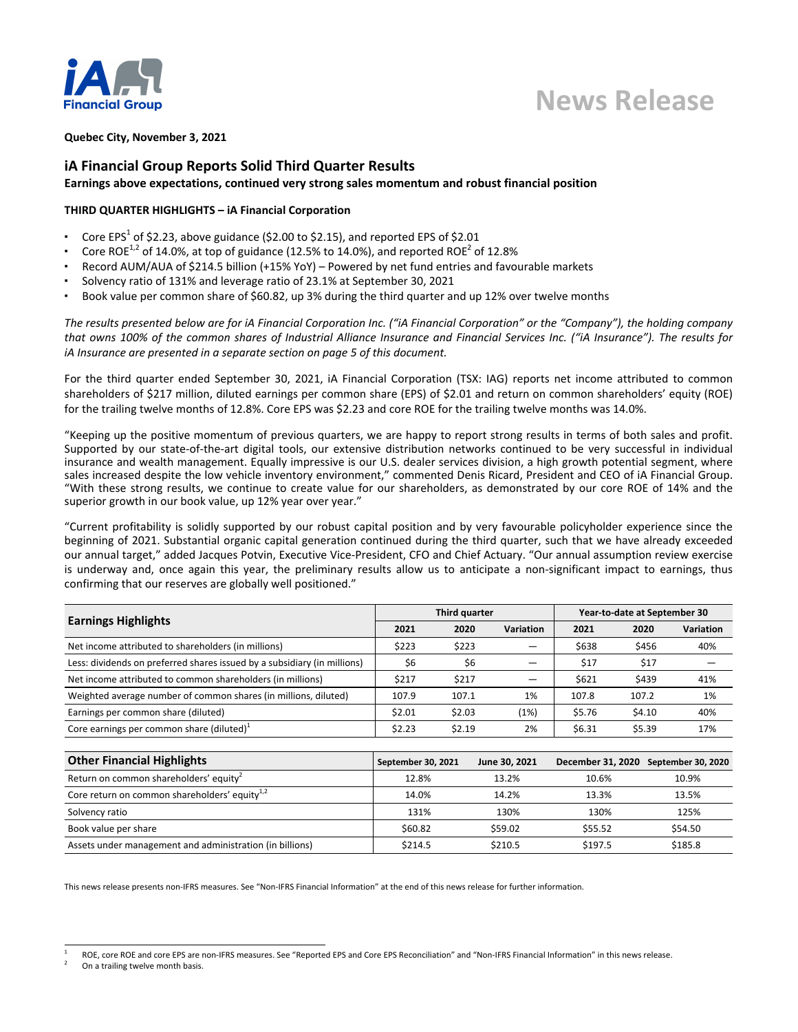

# **Quebec City, November 3, 2021**

# **iA Financial Group Reports Solid Third Quarter Results** Earnings above expectations, continued very strong sales momentum and robust financial position

# **THIRD QUARTER HIGHLIGHTS - iA Financial Corporation**

- Core EPS<sup>1</sup> of \$2.23, above guidance (\$2.00 to \$2.15), and reported EPS of \$2.01
- Core ROE<sup>1,2</sup> of 14.0%, at top of guidance (12.5% to 14.0%), and reported ROE<sup>2</sup> of 12.8%
- Record AUM/AUA of \$214.5 billion (+15% YoY) Powered by net fund entries and favourable markets
- Solvency ratio of 131% and leverage ratio of 23.1% at September 30, 2021
- Book value per common share of \$60.82, up 3% during the third quarter and up 12% over twelve months

The results presented below are for iA Financial Corporation Inc. ("iA Financial Corporation" or the "Company"), the holding company that owns 100% of the common shares of Industrial Alliance Insurance and Financial Services Inc. ("iA Insurance"). The results for *iA* Insurance are presented in a separate section on page 5 of this document.

For the third quarter ended September 30, 2021, iA Financial Corporation (TSX: IAG) reports net income attributed to common shareholders of \$217 million, diluted earnings per common share (EPS) of \$2.01 and return on common shareholders' equity (ROE) for the trailing twelve months of 12.8%. Core EPS was \$2.23 and core ROE for the trailing twelve months was 14.0%.

"Keeping up the positive momentum of previous quarters, we are happy to report strong results in terms of both sales and profit. Supported by our state-of-the-art digital tools, our extensive distribution networks continued to be very successful in individual insurance and wealth management. Equally impressive is our U.S. dealer services division, a high growth potential segment, where sales increased despite the low vehicle inventory environment," commented Denis Ricard, President and CEO of iA Financial Group. "With these strong results, we continue to create value for our shareholders, as demonstrated by our core ROE of 14% and the superior growth in our book value, up 12% year over year."

"Current profitability is solidly supported by our robust capital position and by very favourable policyholder experience since the beginning of 2021. Substantial organic capital generation continued during the third quarter, such that we have already exceeded our annual target," added Jacques Potvin, Executive Vice-President, CFO and Chief Actuary. "Our annual assumption review exercise is underway and, once again this year, the preliminary results allow us to anticipate a non-significant impact to earnings, thus confirming that our reserves are globally well positioned."

|                                                                          |        | Third quarter |           |        | Year-to-date at September 30 |                  |  |  |
|--------------------------------------------------------------------------|--------|---------------|-----------|--------|------------------------------|------------------|--|--|
| <b>Earnings Highlights</b>                                               | 2021   | 2020          | Variation | 2021   | 2020                         | <b>Variation</b> |  |  |
| Net income attributed to shareholders (in millions)                      | \$223  | \$223         |           | \$638  | \$456                        | 40%              |  |  |
| Less: dividends on preferred shares issued by a subsidiary (in millions) | \$6    | \$6           |           | \$17   | \$17                         |                  |  |  |
| Net income attributed to common shareholders (in millions)               | \$217  | \$217         |           | \$621  | \$439                        | 41%              |  |  |
| Weighted average number of common shares (in millions, diluted)          | 107.9  | 107.1         | 1%        | 107.8  | 107.2                        | 1%               |  |  |
| Earnings per common share (diluted)                                      | \$2.01 | \$2.03        | (1%)      | \$5.76 | \$4.10                       | 40%              |  |  |
| Core earnings per common share (diluted) $1$                             | \$2.23 | \$2.19        | 2%        | \$6.31 | \$5.39                       | 17%              |  |  |

| <b>Other Financial Highlights</b>                         | September 30, 2021 | June 30, 2021 | December 31, 2020 September 30, 2020 |         |
|-----------------------------------------------------------|--------------------|---------------|--------------------------------------|---------|
| Return on common shareholders' equity                     | 12.8%              | 13.2%         | 10.6%                                | 10.9%   |
| Core return on common shareholders' equity <sup>1,2</sup> | 14.0%              | 14.2%         | 13.3%                                | 13.5%   |
| Solvency ratio                                            | 131%               | 130%          | 130%                                 | 125%    |
| Book value per share                                      | \$60.82            | \$59.02       | \$55.52                              | \$54.50 |
| Assets under management and administration (in billions)  | \$214.5            | \$210.5       | \$197.5                              | \$185.8 |

This news release presents non-IFRS measures. See "Non-IFRS Financial Information" at the end of this news release for further information.

<sup>1</sup> ROE, core ROE and core EPS are non-IFRS measures. See "Reported EPS and Core EPS Reconciliation" and "Non-IFRS Financial Information" in this news release.

On a trailing twelve month basis.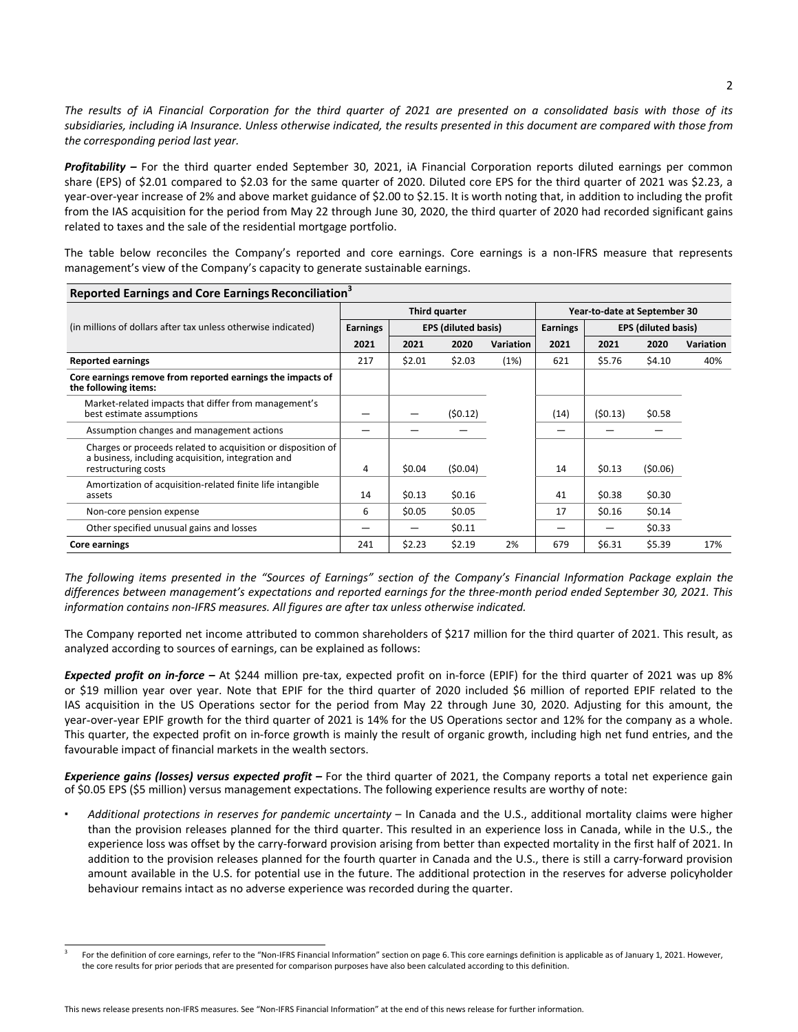The results of iA Financial Corporation for the third quarter of 2021 are presented on a consolidated basis with those of its subsidiaries, including iA Insurance. Unless otherwise indicated, the results presented in this document are compared with those from the corresponding period last year.

**Profitability** – For the third quarter ended September 30, 2021, iA Financial Corporation reports diluted earnings per common share (EPS) of \$2.01 compared to \$2.03 for the same quarter of 2020. Diluted core EPS for the third quarter of 2021 was \$2.23, a year-over-year increase of 2% and above market guidance of \$2.00 to \$2.15. It is worth noting that, in addition to including the profit from the IAS acquisition for the period from May 22 through June 30, 2020, the third quarter of 2020 had recorded significant gains related to taxes and the sale of the residential mortgage portfolio.

The table below reconciles the Company's reported and core earnings. Core earnings is a non-IFRS measure that represents management's view of the Company's capacity to generate sustainable earnings.

**Reported Earnings and Core Earnings Reconciliation<sup>3</sup>**

| Reported Editions and Core Editions Reconciliation                                                                                        |                 |        |                            |                              |                 |         |                            |           |
|-------------------------------------------------------------------------------------------------------------------------------------------|-----------------|--------|----------------------------|------------------------------|-----------------|---------|----------------------------|-----------|
|                                                                                                                                           | Third quarter   |        |                            | Year-to-date at September 30 |                 |         |                            |           |
| (in millions of dollars after tax unless otherwise indicated)                                                                             | <b>Earnings</b> |        | <b>EPS (diluted basis)</b> |                              | <b>Earnings</b> |         | <b>EPS (diluted basis)</b> |           |
|                                                                                                                                           | 2021            | 2021   | 2020                       | <b>Variation</b>             | 2021            | 2021    | 2020                       | Variation |
| <b>Reported earnings</b>                                                                                                                  | 217             | \$2.01 | \$2.03                     | (1%)                         | 621             | \$5.76  | \$4.10                     | 40%       |
| Core earnings remove from reported earnings the impacts of<br>the following items:                                                        |                 |        |                            |                              |                 |         |                            |           |
| Market-related impacts that differ from management's<br>best estimate assumptions                                                         |                 |        | (50.12)                    |                              | (14)            | (50.13) | \$0.58                     |           |
| Assumption changes and management actions                                                                                                 |                 |        |                            |                              |                 |         |                            |           |
| Charges or proceeds related to acquisition or disposition of<br>a business, including acquisition, integration and<br>restructuring costs | 4               | \$0.04 | (50.04)                    |                              | 14              | \$0.13  | (50.06)                    |           |
| Amortization of acquisition-related finite life intangible<br>assets                                                                      | 14              | \$0.13 | \$0.16                     |                              | 41              | \$0.38  | \$0.30                     |           |
| Non-core pension expense                                                                                                                  | 6               | \$0.05 | \$0.05                     |                              | 17              | \$0.16  | \$0.14                     |           |
| Other specified unusual gains and losses                                                                                                  |                 |        | \$0.11                     |                              | –               |         | \$0.33                     |           |
| Core earnings                                                                                                                             | 241             | \$2.23 | \$2.19                     | 2%                           | 679             | \$6.31  | \$5.39                     | 17%       |

The following items presented in the "Sources of Earnings" section of the Company's Financial Information Package explain the differences between management's expectations and reported earnings for the three-month period ended September 30, 2021. This information contains non-IFRS measures. All figures are after tax unless otherwise indicated.

The Company reported net income attributed to common shareholders of \$217 million for the third quarter of 2021. This result, as analyzed according to sources of earnings, can be explained as follows:

**Expected profit on in-force** – At \$244 million pre-tax, expected profit on in-force (EPIF) for the third quarter of 2021 was up 8% or \$19 million year over year. Note that EPIF for the third quarter of 2020 included \$6 million of reported EPIF related to the IAS acquisition in the US Operations sector for the period from May 22 through June 30, 2020. Adjusting for this amount, the year-over-year EPIF growth for the third quarter of 2021 is 14% for the US Operations sector and 12% for the company as a whole. This quarter, the expected profit on in-force growth is mainly the result of organic growth, including high net fund entries, and the favourable impact of financial markets in the wealth sectors.

**Experience gains (losses) versus expected profit** – For the third quarter of 2021, the Company reports a total net experience gain of \$0.05 EPS (\$5 million) versus management expectations. The following experience results are worthy of note:

Additional protections in reserves for pandemic uncertainty – In Canada and the U.S., additional mortality claims were higher than the provision releases planned for the third quarter. This resulted in an experience loss in Canada, while in the U.S., the experience loss was offset by the carry-forward provision arising from better than expected mortality in the first half of 2021. In addition to the provision releases planned for the fourth quarter in Canada and the U.S., there is still a carry-forward provision amount available in the U.S. for potential use in the future. The additional protection in the reserves for adverse policyholder behaviour remains intact as no adverse experience was recorded during the quarter.

<sup>3</sup> For the definition of core earnings, refer to the "Non-IFRS Financial Information" section on page 6. This core earnings definition is applicable as of January 1, 2021. However, the core results for prior periods that are presented for comparison purposes have also been calculated according to this definition.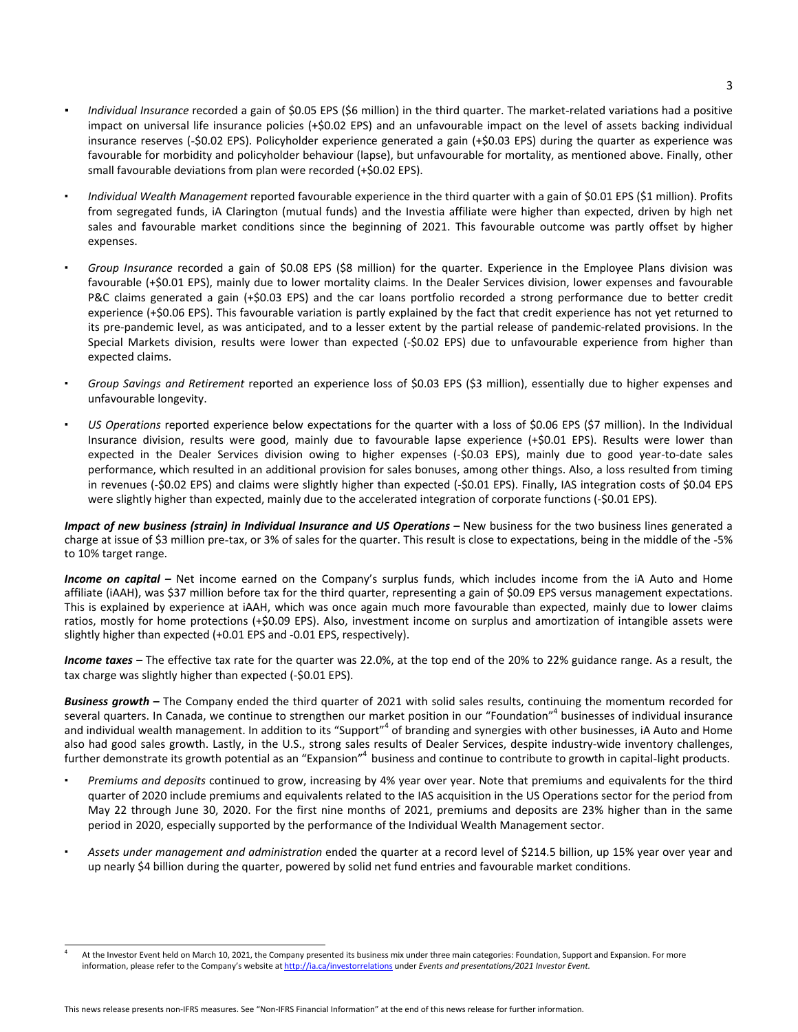- *Individual Insurance* recorded a gain of \$0.05 EPS (\$6 million) in the third quarter. The market-related variations had a positive impact on universal life insurance policies (+\$0.02 EPS) and an unfavourable impact on the level of assets backing individual insurance reserves (-\$0.02 EPS). Policyholder experience generated a gain (+\$0.03 EPS) during the quarter as experience was favourable for morbidity and policyholder behaviour (lapse), but unfavourable for mortality, as mentioned above. Finally, other small favourable deviations from plan were recorded (+\$0.02 EPS).
- *Individual Wealth Management* reported favourable experience in the third quarter with a gain of \$0.01 EPS (\$1 million). Profits from segregated funds, iA Clarington (mutual funds) and the Investia affiliate were higher than expected, driven by high net sales and favourable market conditions since the beginning of 2021. This favourable outcome was partly offset by higher expenses.
- Group Insurance recorded a gain of \$0.08 EPS (\$8 million) for the quarter. Experience in the Employee Plans division was favourable (+\$0.01 EPS), mainly due to lower mortality claims. In the Dealer Services division, lower expenses and favourable P&C claims generated a gain (+\$0.03 EPS) and the car loans portfolio recorded a strong performance due to better credit experience (+\$0.06 EPS). This favourable variation is partly explained by the fact that credit experience has not yet returned to its pre-pandemic level, as was anticipated, and to a lesser extent by the partial release of pandemic-related provisions. In the Special Markets division, results were lower than expected (-\$0.02 EPS) due to unfavourable experience from higher than expected claims.
- Group Savings and Retirement reported an experience loss of \$0.03 EPS (\$3 million), essentially due to higher expenses and unfavourable longevity.
- US Operations reported experience below expectations for the quarter with a loss of \$0.06 EPS (\$7 million). In the Individual Insurance division, results were good, mainly due to favourable lapse experience (+\$0.01 EPS). Results were lower than expected in the Dealer Services division owing to higher expenses (-\$0.03 EPS), mainly due to good year-to-date sales performance, which resulted in an additional provision for sales bonuses, among other things. Also, a loss resulted from timing in revenues (-\$0.02 EPS) and claims were slightly higher than expected (-\$0.01 EPS). Finally, IAS integration costs of \$0.04 EPS were slightly higher than expected, mainly due to the accelerated integration of corporate functions (-\$0.01 EPS).

*Impact of new business (strain) in Individual Insurance and US Operations* – New business for the two business lines generated a charge at issue of \$3 million pre-tax, or 3% of sales for the quarter. This result is close to expectations, being in the middle of the -5% to 10% target range.

**Income** on capital – Net income earned on the Company's surplus funds, which includes income from the iA Auto and Home affiliate (iAAH), was \$37 million before tax for the third quarter, representing a gain of \$0.09 EPS versus management expectations. This is explained by experience at iAAH, which was once again much more favourable than expected, mainly due to lower claims ratios, mostly for home protections (+\$0.09 EPS). Also, investment income on surplus and amortization of intangible assets were slightly higher than expected (+0.01 EPS and -0.01 EPS, respectively).

Income taxes – The effective tax rate for the quarter was 22.0%, at the top end of the 20% to 22% guidance range. As a result, the tax charge was slightly higher than expected (-\$0.01 EPS).

**Business growth** – The Company ended the third quarter of 2021 with solid sales results, continuing the momentum recorded for several quarters. In Canada, we continue to strengthen our market position in our "Foundation"<sup>4</sup> businesses of individual insurance and individual wealth management. In addition to its "Support"<sup>4</sup> of branding and synergies with other businesses, iA Auto and Home also had good sales growth. Lastly, in the U.S., strong sales results of Dealer Services, despite industry-wide inventory challenges, further demonstrate its growth potential as an "Expansion"<sup>4</sup> business and continue to contribute to growth in capital-light products.

- Premiums and deposits continued to grow, increasing by 4% year over year. Note that premiums and equivalents for the third quarter of 2020 include premiums and equivalents related to the IAS acquisition in the US Operations sector for the period from May 22 through June 30, 2020. For the first nine months of 2021, premiums and deposits are 23% higher than in the same period in 2020, especially supported by the performance of the Individual Wealth Management sector.
- Assets under management and administration ended the quarter at a record level of \$214.5 billion, up 15% year over year and up nearly \$4 billion during the quarter, powered by solid net fund entries and favourable market conditions.

<sup>4</sup> At the Investor Event held on March 10, 2021, the Company presented its business mix under three main categories: Foundation, Support and Expansion. For more information, please refer to the Company's website at http://ia.ca/investorrelations under *Events and presentations/2021 Investor Event.*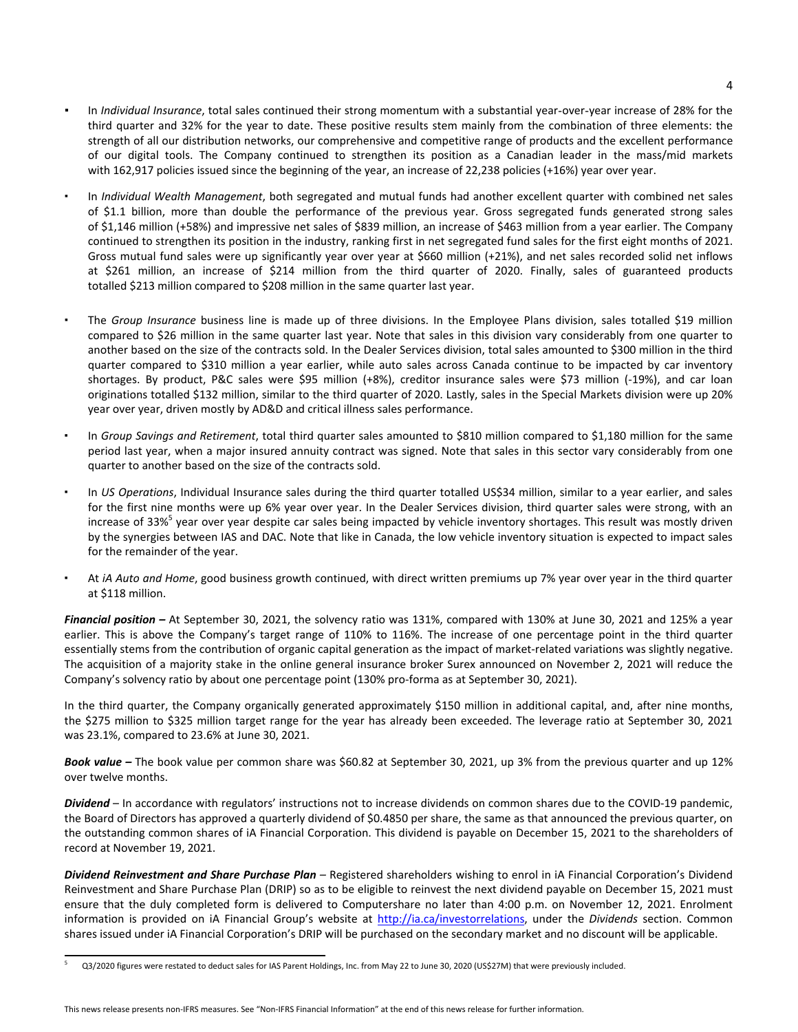- In *Individual Insurance*, total sales continued their strong momentum with a substantial year-over-year increase of 28% for the third quarter and 32% for the year to date. These positive results stem mainly from the combination of three elements: the strength of all our distribution networks, our comprehensive and competitive range of products and the excellent performance of our digital tools. The Company continued to strengthen its position as a Canadian leader in the mass/mid markets with 162,917 policies issued since the beginning of the year, an increase of 22,238 policies (+16%) year over year.
- In *Individual Wealth Management*, both segregated and mutual funds had another excellent quarter with combined net sales of \$1.1 billion, more than double the performance of the previous year. Gross segregated funds generated strong sales of \$1,146 million (+58%) and impressive net sales of \$839 million, an increase of \$463 million from a year earlier. The Company continued to strengthen its position in the industry, ranking first in net segregated fund sales for the first eight months of 2021. Gross mutual fund sales were up significantly year over year at \$660 million  $(+21%)$ , and net sales recorded solid net inflows at \$261 million, an increase of \$214 million from the third quarter of 2020. Finally, sales of guaranteed products totalled \$213 million compared to \$208 million in the same quarter last year.
- The Group Insurance business line is made up of three divisions. In the Employee Plans division, sales totalled \$19 million compared to \$26 million in the same quarter last year. Note that sales in this division vary considerably from one quarter to another based on the size of the contracts sold. In the Dealer Services division, total sales amounted to \$300 million in the third quarter compared to \$310 million a year earlier, while auto sales across Canada continue to be impacted by car inventory shortages. By product, P&C sales were \$95 million (+8%), creditor insurance sales were \$73 million (-19%), and car loan originations totalled \$132 million, similar to the third quarter of 2020. Lastly, sales in the Special Markets division were up 20% year over year, driven mostly by AD&D and critical illness sales performance.
- In *Group Savings and Retirement*, total third quarter sales amounted to \$810 million compared to \$1,180 million for the same period last year, when a major insured annuity contract was signed. Note that sales in this sector vary considerably from one quarter to another based on the size of the contracts sold.
- In *US Operations*, Individual Insurance sales during the third quarter totalled US\$34 million, similar to a year earlier, and sales for the first nine months were up 6% year over year. In the Dealer Services division, third quarter sales were strong, with an increase of 33%<sup>5</sup> year over year despite car sales being impacted by vehicle inventory shortages. This result was mostly driven by the synergies between IAS and DAC. Note that like in Canada, the low vehicle inventory situation is expected to impact sales for the remainder of the year.
- At *iA Auto and Home*, good business growth continued, with direct written premiums up 7% year over year in the third quarter at \$118 million.

Financial position – At September 30, 2021, the solvency ratio was 131%, compared with 130% at June 30, 2021 and 125% a year earlier. This is above the Company's target range of 110% to 116%. The increase of one percentage point in the third quarter essentially stems from the contribution of organic capital generation as the impact of market-related variations was slightly negative. The acquisition of a majority stake in the online general insurance broker Surex announced on November 2, 2021 will reduce the Company's solvency ratio by about one percentage point (130% pro-forma as at September 30, 2021).

In the third quarter, the Company organically generated approximately \$150 million in additional capital, and, after nine months, the \$275 million to \$325 million target range for the year has already been exceeded. The leverage ratio at September 30, 2021 was 23.1%, compared to 23.6% at June 30, 2021.

Book value – The book value per common share was \$60.82 at September 30, 2021, up 3% from the previous quarter and up 12% over twelve months.

**Dividend** – In accordance with regulators' instructions not to increase dividends on common shares due to the COVID-19 pandemic, the Board of Directors has approved a quarterly dividend of \$0.4850 per share, the same as that announced the previous quarter, on the outstanding common shares of iA Financial Corporation. This dividend is payable on December 15, 2021 to the shareholders of record at November 19, 2021.

Dividend Reinvestment and Share Purchase Plan - Registered shareholders wishing to enrol in iA Financial Corporation's Dividend Reinvestment and Share Purchase Plan (DRIP) so as to be eligible to reinvest the next dividend payable on December 15, 2021 must ensure that the duly completed form is delivered to Computershare no later than 4:00 p.m. on November 12, 2021. Enrolment information is provided on iA Financial Group's website at [http://ia.ca/investorrelations,](http://ia.ca/investorrelations) under the *Dividends* section. Common shares issued under iA Financial Corporation's DRIP will be purchased on the secondary market and no discount will be applicable.

<sup>5</sup> Q3/2020 figures were restated to deduct sales for IAS Parent Holdings, Inc. from May 22 to June 30, 2020 (US\$27M) that were previously included.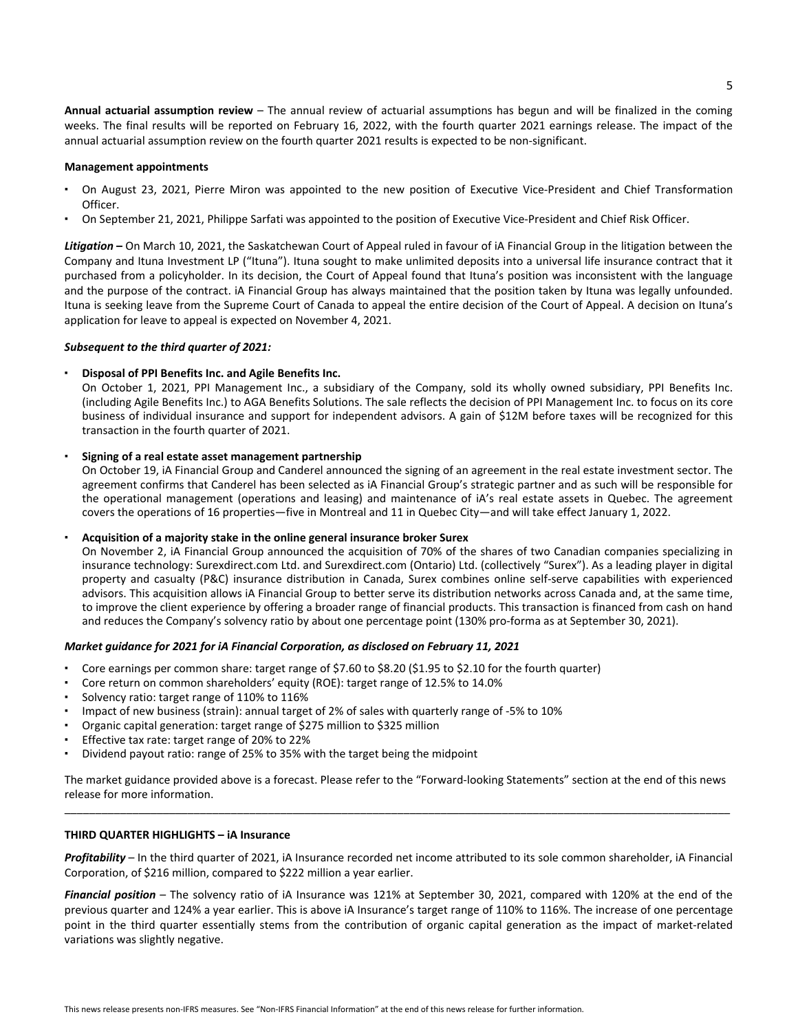**Annual actuarial assumption review** – The annual review of actuarial assumptions has begun and will be finalized in the coming weeks. The final results will be reported on February 16, 2022, with the fourth quarter 2021 earnings release. The impact of the annual actuarial assumption review on the fourth quarter 2021 results is expected to be non-significant.

## **Management appointments**

- On August 23, 2021, Pierre Miron was appointed to the new position of Executive Vice-President and Chief Transformation Officer.
- On September 21, 2021, Philippe Sarfati was appointed to the position of Executive Vice-President and Chief Risk Officer.

Litigation – On March 10, 2021, the Saskatchewan Court of Appeal ruled in favour of iA Financial Group in the litigation between the Company and Ituna Investment LP ("Ituna"). Ituna sought to make unlimited deposits into a universal life insurance contract that it purchased from a policyholder. In its decision, the Court of Appeal found that Ituna's position was inconsistent with the language and the purpose of the contract. iA Financial Group has always maintained that the position taken by Ituna was legally unfounded. Ituna is seeking leave from the Supreme Court of Canada to appeal the entire decision of the Court of Appeal. A decision on Ituna's application for leave to appeal is expected on November 4, 2021.

## Subsequent to the third quarter of 2021:

# **Disposal of PPI Benefits Inc. and Agile Benefits Inc.**

On October 1, 2021, PPI Management Inc., a subsidiary of the Company, sold its wholly owned subsidiary, PPI Benefits Inc. (including Agile Benefits Inc.) to AGA Benefits Solutions. The sale reflects the decision of PPI Management Inc. to focus on its core business of individual insurance and support for independent advisors. A gain of \$12M before taxes will be recognized for this transaction in the fourth quarter of 2021.

# Signing of a real estate asset management partnership

On October 19, iA Financial Group and Canderel announced the signing of an agreement in the real estate investment sector. The agreement confirms that Canderel has been selected as iA Financial Group's strategic partner and as such will be responsible for the operational management (operations and leasing) and maintenance of iA's real estate assets in Quebec. The agreement covers the operations of 16 properties—five in Montreal and 11 in Quebec City—and will take effect January 1, 2022.

## Acquisition of a majority stake in the online general insurance broker Surex

On November 2, iA Financial Group announced the acquisition of 70% of the shares of two Canadian companies specializing in insurance technology: Surexdirect.com Ltd. and Surexdirect.com (Ontario) Ltd. (collectively "Surex"). As a leading player in digital property and casualty (P&C) insurance distribution in Canada, Surex combines online self-serve capabilities with experienced advisors. This acquisition allows iA Financial Group to better serve its distribution networks across Canada and, at the same time, to improve the client experience by offering a broader range of financial products. This transaction is financed from cash on hand and reduces the Company's solvency ratio by about one percentage point (130% pro-forma as at September 30, 2021).

# *Market guidance for 2021 for iA Financial Corporation, as disclosed on February 11, 2021*

- Core earnings per common share: target range of \$7.60 to \$8.20 (\$1.95 to \$2.10 for the fourth quarter)
- Core return on common shareholders' equity (ROE): target range of 12.5% to 14.0%
- Solvency ratio: target range of 110% to 116%
- Impact of new business (strain): annual target of 2% of sales with quarterly range of -5% to 10%
- Organic capital generation: target range of \$275 million to \$325 million
- Effective tax rate: target range of 20% to 22%
- Dividend payout ratio: range of 25% to 35% with the target being the midpoint

The market guidance provided above is a forecast. Please refer to the "Forward-looking Statements" section at the end of this news release for more information. \_\_\_\_\_\_\_\_\_\_\_\_\_\_\_\_\_\_\_\_\_\_\_\_\_\_\_\_\_\_\_\_\_\_\_\_\_\_\_\_\_\_\_\_\_\_\_\_\_\_\_\_\_\_\_\_\_\_\_\_\_\_\_\_\_\_\_\_\_\_\_\_\_\_\_\_\_\_\_\_\_\_\_\_\_\_\_\_\_\_\_\_\_\_\_\_\_\_\_\_\_\_\_\_\_\_\_\_

## **THIRD QUARTER HIGHLIGHTS - iA Insurance**

Profitability – In the third quarter of 2021, iA Insurance recorded net income attributed to its sole common shareholder, iA Financial Corporation, of \$216 million, compared to \$222 million a year earlier.

Financial position – The solvency ratio of iA Insurance was 121% at September 30, 2021, compared with 120% at the end of the previous quarter and 124% a year earlier. This is above iA Insurance's target range of 110% to 116%. The increase of one percentage point in the third quarter essentially stems from the contribution of organic capital generation as the impact of market-related variations was slightly negative.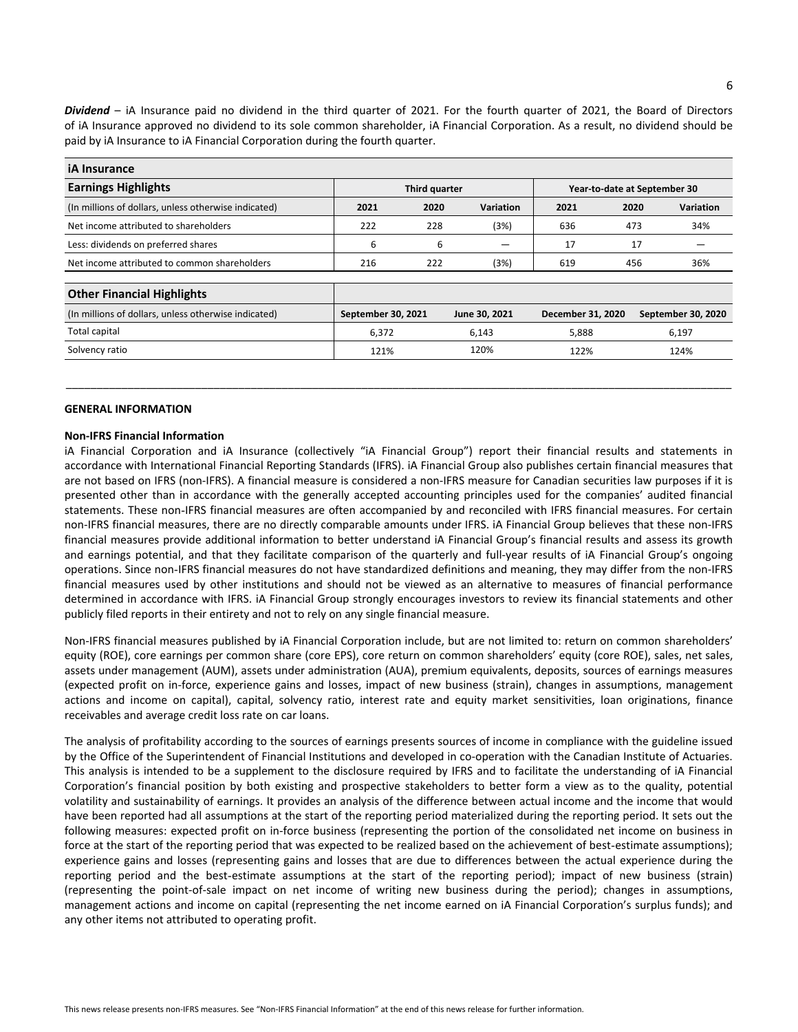**Dividend** – iA Insurance paid no dividend in the third quarter of 2021. For the fourth quarter of 2021, the Board of Directors of iA Insurance approved no dividend to its sole common shareholder, iA Financial Corporation. As a result, no dividend should be paid by iA Insurance to iA Financial Corporation during the fourth quarter.

| iA Insurance                                         |                    |      |               |                              |      |                    |  |
|------------------------------------------------------|--------------------|------|---------------|------------------------------|------|--------------------|--|
| <b>Earnings Highlights</b>                           | Third quarter      |      |               | Year-to-date at September 30 |      |                    |  |
| (In millions of dollars, unless otherwise indicated) | 2021               | 2020 | Variation     | 2021                         | 2020 | <b>Variation</b>   |  |
| Net income attributed to shareholders                | 222                | 228  | (3%)          | 636                          | 473  | 34%                |  |
| Less: dividends on preferred shares                  | 6                  | 6    |               | 17                           |      | 17                 |  |
| Net income attributed to common shareholders         | 216                | 222  | (3%)          | 619                          | 456  | 36%                |  |
|                                                      |                    |      |               |                              |      |                    |  |
| <b>Other Financial Highlights</b>                    |                    |      |               |                              |      |                    |  |
| (In millions of dollars, unless otherwise indicated) | September 30, 2021 |      | June 30, 2021 | December 31, 2020            |      | September 30, 2020 |  |
| Total capital                                        | 6,372              |      | 6,143         | 5,888                        |      | 6,197              |  |
| Solvency ratio                                       | 121%               |      | 120%          | 122%                         |      | 124%               |  |
|                                                      |                    |      |               |                              |      |                    |  |

\_\_\_\_\_\_\_\_\_\_\_\_\_\_\_\_\_\_\_\_\_\_\_\_\_\_\_\_\_\_\_\_\_\_\_\_\_\_\_\_\_\_\_\_\_\_\_\_\_\_\_\_\_\_\_\_\_\_\_\_\_\_\_\_\_\_\_\_\_\_\_\_\_\_\_\_\_\_\_\_\_\_\_\_\_\_\_\_\_\_\_\_\_\_\_\_\_\_\_\_\_\_\_\_\_\_\_\_

# **GENERAL INFORMATION**

#### **Non-IFRS Financial Information**

iA Financial Corporation and iA Insurance (collectively "iA Financial Group") report their financial results and statements in accordance with International Financial Reporting Standards (IFRS). iA Financial Group also publishes certain financial measures that are not based on IFRS (non-IFRS). A financial measure is considered a non-IFRS measure for Canadian securities law purposes if it is presented other than in accordance with the generally accepted accounting principles used for the companies' audited financial statements. These non-IFRS financial measures are often accompanied by and reconciled with IFRS financial measures. For certain non-IFRS financial measures, there are no directly comparable amounts under IFRS. iA Financial Group believes that these non-IFRS financial measures provide additional information to better understand iA Financial Group's financial results and assess its growth and earnings potential, and that they facilitate comparison of the quarterly and full-year results of iA Financial Group's ongoing operations. Since non-IFRS financial measures do not have standardized definitions and meaning, they may differ from the non-IFRS financial measures used by other institutions and should not be viewed as an alternative to measures of financial performance determined in accordance with IFRS. iA Financial Group strongly encourages investors to review its financial statements and other publicly filed reports in their entirety and not to rely on any single financial measure.

Non-IFRS financial measures published by iA Financial Corporation include, but are not limited to: return on common shareholders' equity (ROE), core earnings per common share (core EPS), core return on common shareholders' equity (core ROE), sales, net sales, assets under management (AUM), assets under administration (AUA), premium equivalents, deposits, sources of earnings measures (expected profit on in-force, experience gains and losses, impact of new business (strain), changes in assumptions, management actions and income on capital), capital, solvency ratio, interest rate and equity market sensitivities, loan originations, finance receivables and average credit loss rate on car loans.

The analysis of profitability according to the sources of earnings presents sources of income in compliance with the guideline issued by the Office of the Superintendent of Financial Institutions and developed in co-operation with the Canadian Institute of Actuaries. This analysis is intended to be a supplement to the disclosure required by IFRS and to facilitate the understanding of iA Financial Corporation's financial position by both existing and prospective stakeholders to better form a view as to the quality, potential volatility and sustainability of earnings. It provides an analysis of the difference between actual income and the income that would have been reported had all assumptions at the start of the reporting period materialized during the reporting period. It sets out the following measures: expected profit on in-force business (representing the portion of the consolidated net income on business in force at the start of the reporting period that was expected to be realized based on the achievement of best-estimate assumptions); experience gains and losses (representing gains and losses that are due to differences between the actual experience during the reporting period and the best-estimate assumptions at the start of the reporting period); impact of new business (strain) (representing the point-of-sale impact on net income of writing new business during the period); changes in assumptions, management actions and income on capital (representing the net income earned on iA Financial Corporation's surplus funds); and any other items not attributed to operating profit.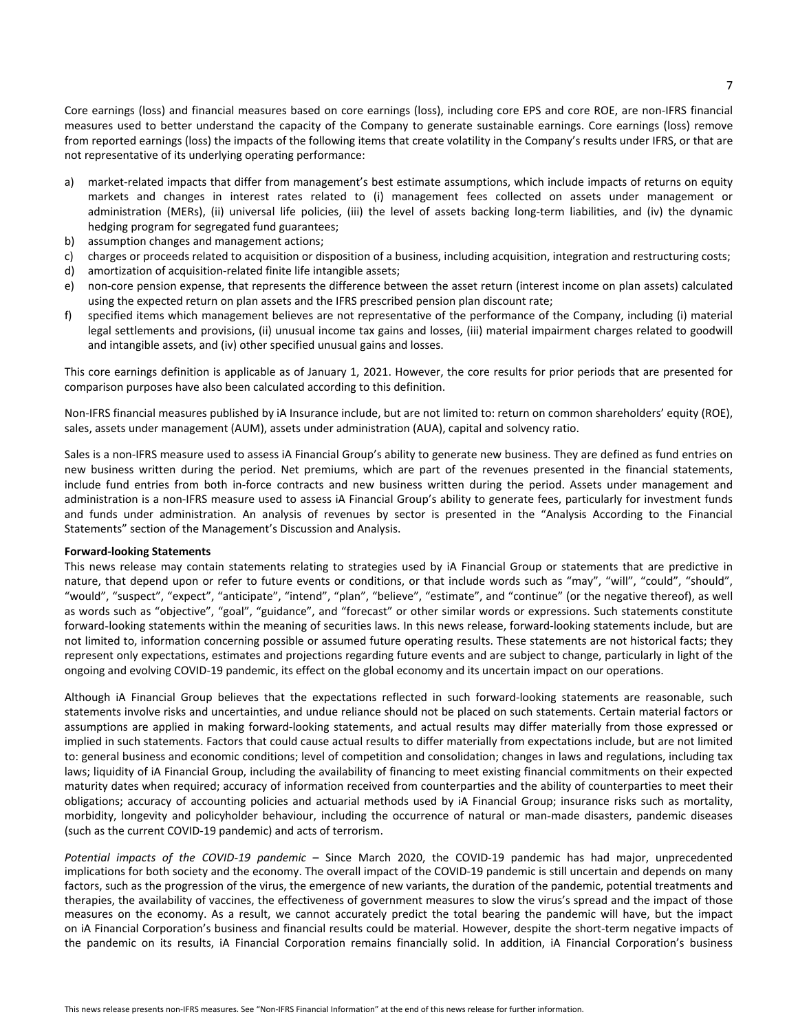Core earnings (loss) and financial measures based on core earnings (loss), including core EPS and core ROE, are non-IFRS financial measures used to better understand the capacity of the Company to generate sustainable earnings. Core earnings (loss) remove from reported earnings (loss) the impacts of the following items that create volatility in the Company's results under IFRS, or that are not representative of its underlying operating performance:

- a) market-related impacts that differ from management's best estimate assumptions, which include impacts of returns on equity markets and changes in interest rates related to (i) management fees collected on assets under management or administration (MERs), (ii) universal life policies, (iii) the level of assets backing long-term liabilities, and (iv) the dynamic hedging program for segregated fund guarantees;
- b) assumption changes and management actions;
- c) charges or proceeds related to acquisition or disposition of a business, including acquisition, integration and restructuring costs;
- d) amortization of acquisition-related finite life intangible assets;
- e) non-core pension expense, that represents the difference between the asset return (interest income on plan assets) calculated using the expected return on plan assets and the IFRS prescribed pension plan discount rate;
- f) specified items which management believes are not representative of the performance of the Company, including (i) material legal settlements and provisions, (ii) unusual income tax gains and losses, (iii) material impairment charges related to goodwill and intangible assets, and (iv) other specified unusual gains and losses.

This core earnings definition is applicable as of January 1, 2021. However, the core results for prior periods that are presented for comparison purposes have also been calculated according to this definition.

Non-IFRS financial measures published by iA Insurance include, but are not limited to: return on common shareholders' equity (ROE), sales, assets under management (AUM), assets under administration (AUA), capital and solvency ratio.

Sales is a non-IFRS measure used to assess iA Financial Group's ability to generate new business. They are defined as fund entries on new business written during the period. Net premiums, which are part of the revenues presented in the financial statements, include fund entries from both in-force contracts and new business written during the period. Assets under management and administration is a non-IFRS measure used to assess iA Financial Group's ability to generate fees, particularly for investment funds and funds under administration. An analysis of revenues by sector is presented in the "Analysis According to the Financial Statements" section of the Management's Discussion and Analysis.

## **Forward-looking Statements**

This news release may contain statements relating to strategies used by iA Financial Group or statements that are predictive in nature, that depend upon or refer to future events or conditions, or that include words such as "may", "will", "could", "should", "would", "suspect", "expect", "anticipate", "intend", "plan", "believe", "estimate", and "continue" (or the negative thereof), as well as words such as "objective", "goal", "guidance", and "forecast" or other similar words or expressions. Such statements constitute forward-looking statements within the meaning of securities laws. In this news release, forward-looking statements include, but are not limited to, information concerning possible or assumed future operating results. These statements are not historical facts; they represent only expectations, estimates and projections regarding future events and are subject to change, particularly in light of the ongoing and evolving COVID-19 pandemic, its effect on the global economy and its uncertain impact on our operations.

Although iA Financial Group believes that the expectations reflected in such forward-looking statements are reasonable, such statements involve risks and uncertainties, and undue reliance should not be placed on such statements. Certain material factors or assumptions are applied in making forward-looking statements, and actual results may differ materially from those expressed or implied in such statements. Factors that could cause actual results to differ materially from expectations include, but are not limited to: general business and economic conditions; level of competition and consolidation; changes in laws and regulations, including tax laws; liquidity of iA Financial Group, including the availability of financing to meet existing financial commitments on their expected maturity dates when required; accuracy of information received from counterparties and the ability of counterparties to meet their obligations; accuracy of accounting policies and actuarial methods used by iA Financial Group; insurance risks such as mortality, morbidity, longevity and policyholder behaviour, including the occurrence of natural or man-made disasters, pandemic diseases (such as the current COVID-19 pandemic) and acts of terrorism.

Potential impacts of the COVID-19 pandemic – Since March 2020, the COVID-19 pandemic has had major, unprecedented implications for both society and the economy. The overall impact of the COVID-19 pandemic is still uncertain and depends on many factors, such as the progression of the virus, the emergence of new variants, the duration of the pandemic, potential treatments and therapies, the availability of vaccines, the effectiveness of government measures to slow the virus's spread and the impact of those measures on the economy. As a result, we cannot accurately predict the total bearing the pandemic will have, but the impact on iA Financial Corporation's business and financial results could be material. However, despite the short-term negative impacts of the pandemic on its results, iA Financial Corporation remains financially solid. In addition, iA Financial Corporation's business